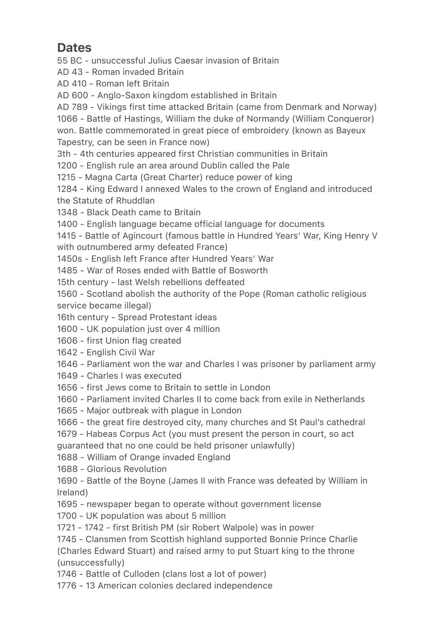## Dates

55 BC - unsuccessful Julius Caesar invasion of Britain

AD 43 - Roman invaded Britain

AD 410 - Roman left Britain

AD 600 - Anglo-Saxon kingdom established in Britain

AD 789 - Vikings first time attacked Britain (came from Denmark and Norway)

1066 - Battle of Hastings, William the duke of Normandy (William Conqueror) won. Battle commemorated in great piece of embroidery (known as Bayeux Tapestry, can be seen in France now)

3th - 4th centuries appeared first Christian communities in Britain

1200 - English rule an area around Dublin called the Pale

1215 - Magna Carta (Great Charter) reduce power of king

1284 - King Edward I annexed Wales to the crown of England and introduced the Statute of Rhuddlan

1348 - Black Death came to Britain

1400 - English language became official language for documents

1415 - Battle of Agincourt (famous battle in Hundred Years' War, King Henry V with outnumbered army defeated France)

1450s - English left France after Hundred Years' War

1485 - War of Roses ended with Battle of Bosworth

15th century - last Welsh rebellions deffeated

1560 - Scotland abolish the authority of the Pope (Roman catholic religious service became illegal)

16th century - Spread Protestant ideas

1600 - UK population just over 4 million

1606 - first Union flag created

1642 - English Civil War

1646 - Parliament won the war and Charles I was prisoner by parliament army

- 1649 Charles I was executed
- 1656 first Jews come to Britain to settle in London

1660 - Parliament invited Charles II to come back from exile in Netherlands

- 1665 Major outbreak with plague in London
- 1666 the great fire destroyed city, many churches and St Paul's cathedral
- 1679 Habeas Corpus Act (you must present the person in court, so act guaranteed that no one could be held prisoner unlawfully)

1688 - William of Orange invaded England

1688 - Glorious Revolution

1690 - Battle of the Boyne (James II with France was defeated by William in Ireland)

- 1695 newspaper began to operate without government license
- 1700 UK population was about 5 million
- 1721 1742 first British PM (sir Robert Walpole) was in power

1745 - Clansmen from Scottish highland supported Bonnie Prince Charlie (Charles Edward Stuart) and raised army to put Stuart king to the throne (unsuccessfully)

1746 - Battle of Culloden (clans lost a lot of power)

1776 - 13 American colonies declared independence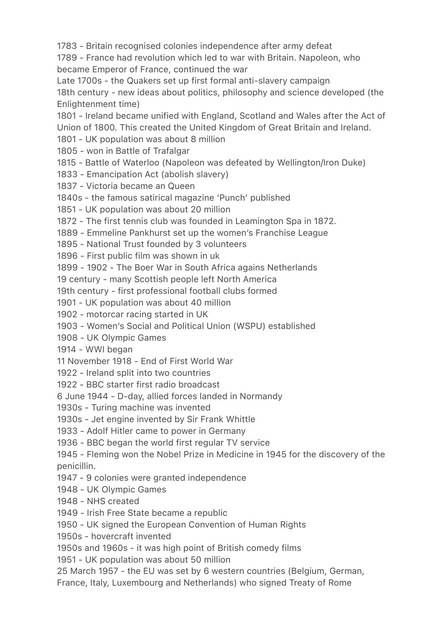1783 - Britain recognised colonies independence after army defeat

1789 - France had revolution which led to war with Britain. Napoleon, who became Emperor of France, continued the war

Late 1700s - the Quakers set up first formal anti-slavery campaign 18th century - new ideas about politics, philosophy and science developed (the Enlightenment time)

1801 - Ireland became unified with England, Scotland and Wales after the Act of Union of 1800. This created the United Kingdom of Great Britain and Ireland.

1801 - UK population was about 8 million

1805 - won in Battle of Trafalgar

1815 - Battle of Waterloo (Napoleon was defeated by Wellington/Iron Duke)

1833 - Emancipation Act (abolish slavery)

1837 - Victoria became an Queen

1840s - the famous satirical magazine 'Punch' published

1851 - UK population was about 20 million

1872 - The first tennis club was founded in Leamington Spa in 1872.

1889 - Emmeline Pankhurst set up the women's Franchise League

1895 - National Trust founded by 3 volunteers

1896 - First public film was shown in uk

1899 - 1902 - The Boer War in South Africa agains Netherlands

19 century - many Scottish people left North America

19th century - first professional football clubs formed

1901 - UK population was about 40 million

1902 - motorcar racing started in UK

1903 - Women's Social and Political Union (WSPU) established

1908 - UK Olympic Games

1914 - WWI began

11 November 1918 - End of First World War

1922 - Ireland split into two countries

1922 - BBC starter first radio broadcast

6 June 1944 - D-day, allied forces landed in Normandy

1930s - Turing machine was invented

1930s - Jet engine invented by Sir Frank Whittle

1933 - Adolf Hitler came to power in Germany

1936 - BBC began the world first regular TV service

1945 - Fleming won the Nobel Prize in Medicine in 1945 for the discovery of the penicillin.

1947 - 9 colonies were granted independence

1948 - UK Olympic Games

1948 - NHS created

1949 - Irish Free State became a republic

1950 - UK signed the European Convention of Human Rights

1950s - hovercraft invented

1950s and 1960s - it was high point of British comedy films

1951 - UK population was about 50 million

25 March 1957 - the EU was set by 6 western countries (Belgium, German,

France, Italy, Luxembourg and Netherlands) who signed Treaty of Rome